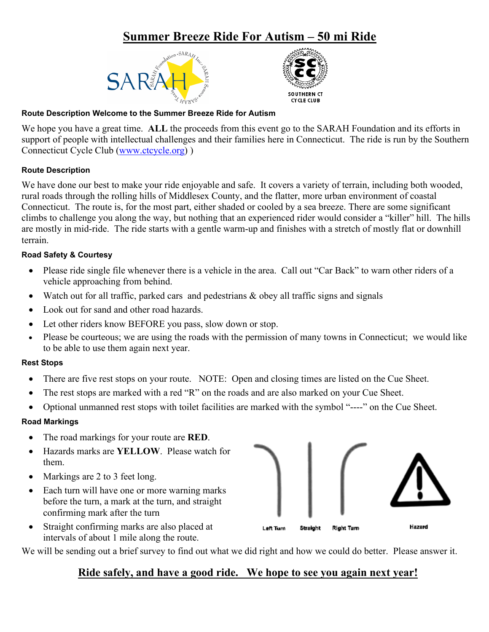# **Summer Breeze Ride For Autism – 50 mi Ride**





## **Route Description Welcome to the Summer Breeze Ride for Autism**

We hope you have a great time. **ALL** the proceeds from this event go to the SARAH Foundation and its efforts in support of people with intellectual challenges and their families here in Connecticut. The ride is run by the Southern Connecticut Cycle Club [\(www.ctcycle.org\)](http://www.ctcycle.org/) )

## **Route Description**

We have done our best to make your ride enjoyable and safe. It covers a variety of terrain, including both wooded, rural roads through the rolling hills of Middlesex County, and the flatter, more urban environment of coastal Connecticut. The route is, for the most part, either shaded or cooled by a sea breeze. There are some significant climbs to challenge you along the way, but nothing that an experienced rider would consider a "killer" hill. The hills are mostly in mid-ride. The ride starts with a gentle warm-up and finishes with a stretch of mostly flat or downhill terrain.

## **Road Safety & Courtesy**

- Please ride single file whenever there is a vehicle in the area. Call out "Car Back" to warn other riders of a vehicle approaching from behind.
- Watch out for all traffic, parked cars and pedestrians & obey all traffic signs and signals
- Look out for sand and other road hazards.
- Let other riders know BEFORE you pass, slow down or stop.
- Please be courteous; we are using the roads with the permission of many towns in Connecticut; we would like to be able to use them again next year.

#### **Rest Stops**

- There are five rest stops on your route. NOTE: Open and closing times are listed on the Cue Sheet.
- The rest stops are marked with a red "R" on the roads and are also marked on your Cue Sheet.
- Optional unmanned rest stops with toilet facilities are marked with the symbol "----" on the Cue Sheet.

#### **Road Markings**

- The road markings for your route are **RED**.
- Hazards marks are **YELLOW**. Please watch for them.
- Markings are 2 to 3 feet long.
- Each turn will have one or more warning marks before the turn, a mark at the turn, and straight confirming mark after the turn
- Straight confirming marks are also placed at intervals of about 1 mile along the route.

We will be sending out a brief survey to find out what we did right and how we could do better. Please answer it.

## **Ride safely, and have a good ride. We hope to see you again next year!**